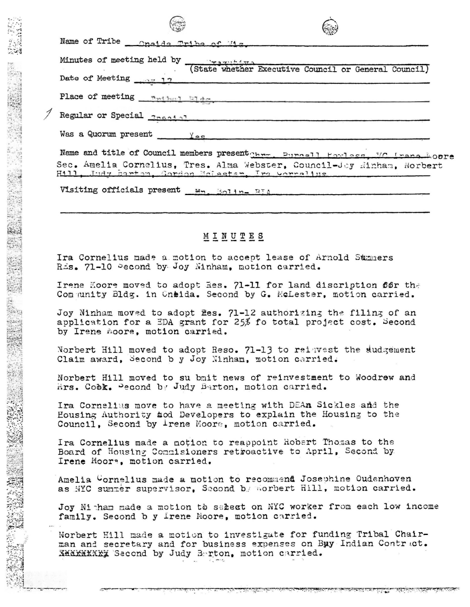| $\sim$                                                                        |
|-------------------------------------------------------------------------------|
| Name of Tribe ___ Oneida Tribe of Mis                                         |
| Minutes of meeting held by <b>Executive</b> Council or General Council)       |
| Date of Meeting $\frac{17}{2}$                                                |
| Place of meeting neibout Elds                                                 |
| Regular or Special <b>Created</b>                                             |
| Was a Quorum present $\frac{1}{2}$                                            |
| Name and title of Council members present the Purcell Howless, WC irong Moore |
| Sec. Amelia Cornelius, Tres. Alma Webster, Council-Jey Hinham, Norbert        |
| Visiting officials present Mm. Boling RIA                                     |

 $\sqrt{2}$ 

-:•. -... - \_\_ .. ,, -. r  $\approx$  :1  $\cdot$   $\cdot$   $\cdot$ :> <sup>~</sup>

 $"$  $\frac{1}{2}$  $\mathcal{N} = 4$ 

t~~-.~ t~ *..* r:\_ ~ ..., ~·1 **tp-:7** ~~ ~~;,•· ~

*,n* 

 $-$ 

;·\_~~ **.. 1**  :~ ;.-~1 ~,,~~l~ ~~~~

**th** 

gBJ. *J* •• *•:· ·:* 

## MINUTES

Ira Cornelius made a motion to accept lease of Arnold Summers Ris. 71-10 Pecond by Joy Ninham. motion carried.

Irene Koore moved to adopt Res. 71-11 for land discription 66r the Community Bldg. in Cneida. Second by G. McLester, motion carried.

Joy Ninham moved to adopt fles. 71-12 authorizing the filing of an application for a EDA grant for  $25\%$  fo total project cost. Second by Irene moore, motion carried.

Norbert Hill moved to adopt Reso.  $71-13$  to reigvest the dudgement Claim award, Second b y Joy Ninham, motion carried.

Norbert Hill moved to su bmit news of reinvestment to Woodrew and Hrs. Cobk. Pecond by Judy Barton, motion carried.

Ira Cornelius move to have a meeting with DEAn Sickles and the Eousing Authority 41od Developers to explain the Housing to the Council, Second by  $\bot$ rene Moore, motion carried.

Ira Cornelius made a notion to reappoint Robert Thomas to the Board of Housing Commisioners retroactive to April, Second by Irene Moor~. motion carried.

Amelia Wornelius made a motion to recommend Josephine Oudenhoven as .WC summer supervisor, Second b . worbert Hill, motion carried.

Joy Ni ham made a motion to select on NYC worker from each low income family. Second b y Irene Moore, motion carried.

Norbert Hill made a motion to investigate for funding Tribal Chairman and secretary and for business expenses on Buy Indian Contract. XMXXXXXXX: 'Saccnd by Judy Berton, motion carried.